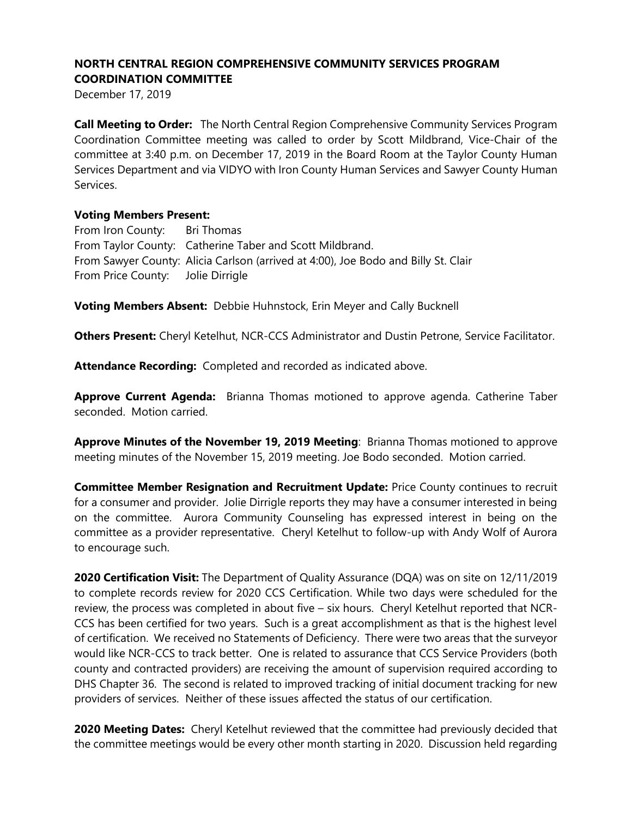December 17, 2019

**Call Meeting to Order:** The North Central Region Comprehensive Community Services Program Coordination Committee meeting was called to order by Scott Mildbrand, Vice-Chair of the committee at 3:40 p.m. on December 17, 2019 in the Board Room at the Taylor County Human Services Department and via VIDYO with Iron County Human Services and Sawyer County Human Services.

#### **Voting Members Present:**

From Iron County: Bri Thomas From Taylor County: Catherine Taber and Scott Mildbrand. From Sawyer County: Alicia Carlson (arrived at 4:00), Joe Bodo and Billy St. Clair From Price County: Jolie Dirrigle

**Voting Members Absent:** Debbie Huhnstock, Erin Meyer and Cally Bucknell

**Others Present:** Cheryl Ketelhut, NCR-CCS Administrator and Dustin Petrone, Service Facilitator.

**Attendance Recording:** Completed and recorded as indicated above.

**Approve Current Agenda:** Brianna Thomas motioned to approve agenda. Catherine Taber seconded. Motion carried.

**Approve Minutes of the November 19, 2019 Meeting**: Brianna Thomas motioned to approve meeting minutes of the November 15, 2019 meeting. Joe Bodo seconded. Motion carried.

**Committee Member Resignation and Recruitment Update:** Price County continues to recruit for a consumer and provider. Jolie Dirrigle reports they may have a consumer interested in being on the committee. Aurora Community Counseling has expressed interest in being on the committee as a provider representative. Cheryl Ketelhut to follow-up with Andy Wolf of Aurora to encourage such.

**2020 Certification Visit:** The Department of Quality Assurance (DQA) was on site on 12/11/2019 to complete records review for 2020 CCS Certification. While two days were scheduled for the review, the process was completed in about five – six hours. Cheryl Ketelhut reported that NCR-CCS has been certified for two years. Such is a great accomplishment as that is the highest level of certification. We received no Statements of Deficiency. There were two areas that the surveyor would like NCR-CCS to track better. One is related to assurance that CCS Service Providers (both county and contracted providers) are receiving the amount of supervision required according to DHS Chapter 36. The second is related to improved tracking of initial document tracking for new providers of services. Neither of these issues affected the status of our certification.

2020 Meeting Dates: Cheryl Ketelhut reviewed that the committee had previously decided that the committee meetings would be every other month starting in 2020. Discussion held regarding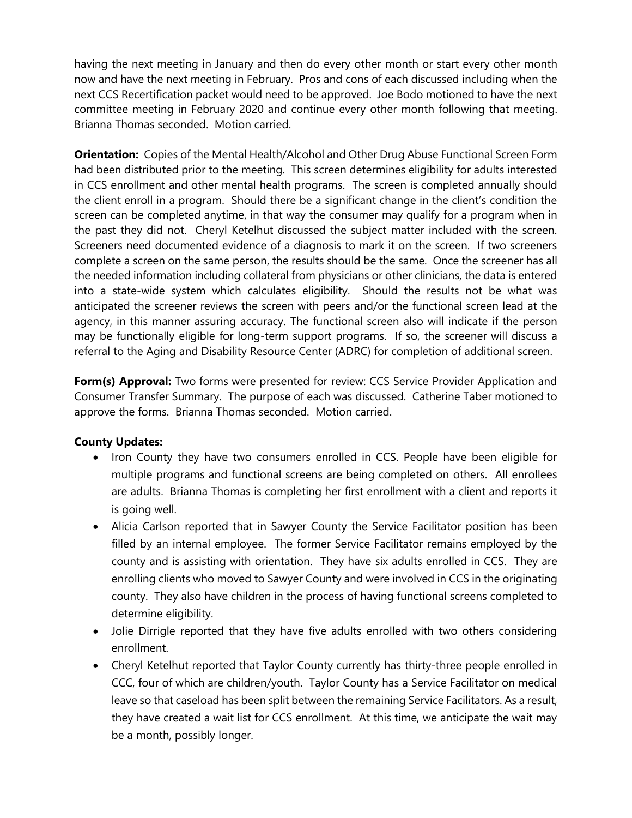having the next meeting in January and then do every other month or start every other month now and have the next meeting in February. Pros and cons of each discussed including when the next CCS Recertification packet would need to be approved. Joe Bodo motioned to have the next committee meeting in February 2020 and continue every other month following that meeting. Brianna Thomas seconded. Motion carried.

**Orientation:** Copies of the Mental Health/Alcohol and Other Drug Abuse Functional Screen Form had been distributed prior to the meeting. This screen determines eligibility for adults interested in CCS enrollment and other mental health programs. The screen is completed annually should the client enroll in a program. Should there be a significant change in the client's condition the screen can be completed anytime, in that way the consumer may qualify for a program when in the past they did not. Cheryl Ketelhut discussed the subject matter included with the screen. Screeners need documented evidence of a diagnosis to mark it on the screen. If two screeners complete a screen on the same person, the results should be the same. Once the screener has all the needed information including collateral from physicians or other clinicians, the data is entered into a state-wide system which calculates eligibility. Should the results not be what was anticipated the screener reviews the screen with peers and/or the functional screen lead at the agency, in this manner assuring accuracy. The functional screen also will indicate if the person may be functionally eligible for long-term support programs. If so, the screener will discuss a referral to the Aging and Disability Resource Center (ADRC) for completion of additional screen.

**Form(s) Approval:** Two forms were presented for review: CCS Service Provider Application and Consumer Transfer Summary. The purpose of each was discussed. Catherine Taber motioned to approve the forms. Brianna Thomas seconded. Motion carried.

## **County Updates:**

- Iron County they have two consumers enrolled in CCS. People have been eligible for multiple programs and functional screens are being completed on others. All enrollees are adults. Brianna Thomas is completing her first enrollment with a client and reports it is going well.
- Alicia Carlson reported that in Sawyer County the Service Facilitator position has been filled by an internal employee. The former Service Facilitator remains employed by the county and is assisting with orientation. They have six adults enrolled in CCS. They are enrolling clients who moved to Sawyer County and were involved in CCS in the originating county. They also have children in the process of having functional screens completed to determine eligibility.
- Jolie Dirrigle reported that they have five adults enrolled with two others considering enrollment.
- Cheryl Ketelhut reported that Taylor County currently has thirty-three people enrolled in CCC, four of which are children/youth. Taylor County has a Service Facilitator on medical leave so that caseload has been split between the remaining Service Facilitators. As a result, they have created a wait list for CCS enrollment. At this time, we anticipate the wait may be a month, possibly longer.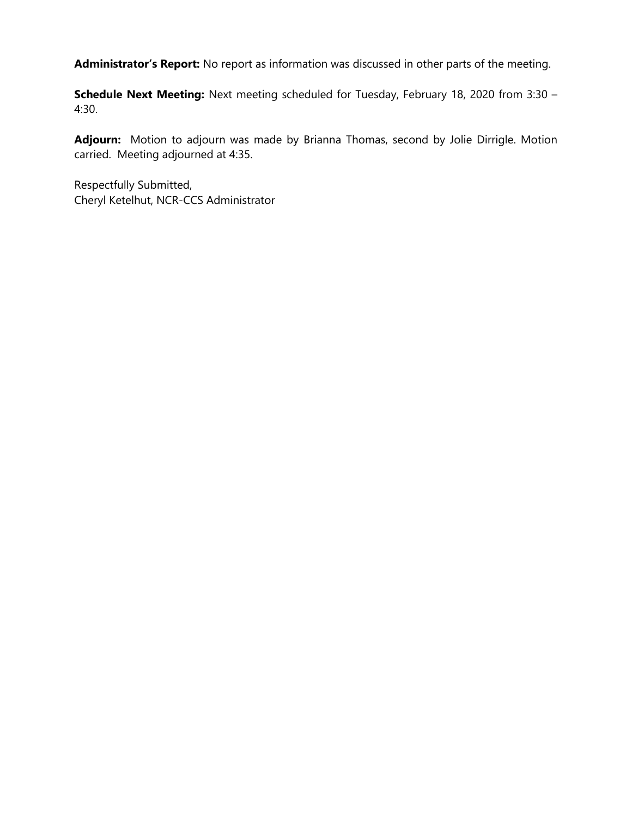**Administrator's Report:** No report as information was discussed in other parts of the meeting.

**Schedule Next Meeting:** Next meeting scheduled for Tuesday, February 18, 2020 from 3:30 – 4:30.

**Adjourn:** Motion to adjourn was made by Brianna Thomas, second by Jolie Dirrigle. Motion carried. Meeting adjourned at 4:35.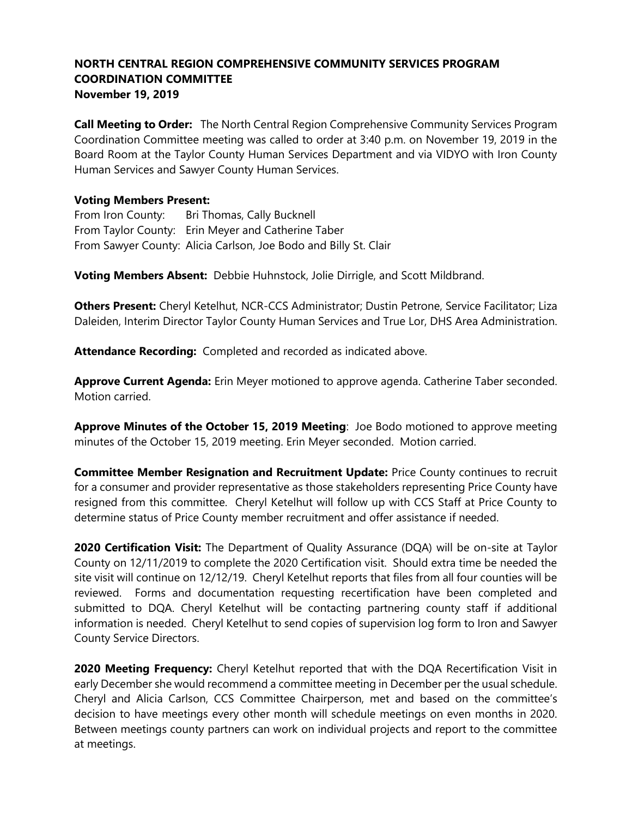**Call Meeting to Order:** The North Central Region Comprehensive Community Services Program Coordination Committee meeting was called to order at 3:40 p.m. on November 19, 2019 in the Board Room at the Taylor County Human Services Department and via VIDYO with Iron County Human Services and Sawyer County Human Services.

### **Voting Members Present:**

From Iron County: Bri Thomas, Cally Bucknell From Taylor County: Erin Meyer and Catherine Taber From Sawyer County: Alicia Carlson, Joe Bodo and Billy St. Clair

**Voting Members Absent:** Debbie Huhnstock, Jolie Dirrigle, and Scott Mildbrand.

**Others Present:** Cheryl Ketelhut, NCR-CCS Administrator; Dustin Petrone, Service Facilitator; Liza Daleiden, Interim Director Taylor County Human Services and True Lor, DHS Area Administration.

**Attendance Recording:** Completed and recorded as indicated above.

**Approve Current Agenda:** Erin Meyer motioned to approve agenda. Catherine Taber seconded. Motion carried.

**Approve Minutes of the October 15, 2019 Meeting**: Joe Bodo motioned to approve meeting minutes of the October 15, 2019 meeting. Erin Meyer seconded. Motion carried.

**Committee Member Resignation and Recruitment Update:** Price County continues to recruit for a consumer and provider representative as those stakeholders representing Price County have resigned from this committee. Cheryl Ketelhut will follow up with CCS Staff at Price County to determine status of Price County member recruitment and offer assistance if needed.

**2020 Certification Visit:** The Department of Quality Assurance (DQA) will be on-site at Taylor County on 12/11/2019 to complete the 2020 Certification visit. Should extra time be needed the site visit will continue on 12/12/19. Cheryl Ketelhut reports that files from all four counties will be reviewed. Forms and documentation requesting recertification have been completed and submitted to DQA. Cheryl Ketelhut will be contacting partnering county staff if additional information is needed. Cheryl Ketelhut to send copies of supervision log form to Iron and Sawyer County Service Directors.

**2020 Meeting Frequency:** Cheryl Ketelhut reported that with the DQA Recertification Visit in early December she would recommend a committee meeting in December per the usual schedule. Cheryl and Alicia Carlson, CCS Committee Chairperson, met and based on the committee's decision to have meetings every other month will schedule meetings on even months in 2020. Between meetings county partners can work on individual projects and report to the committee at meetings.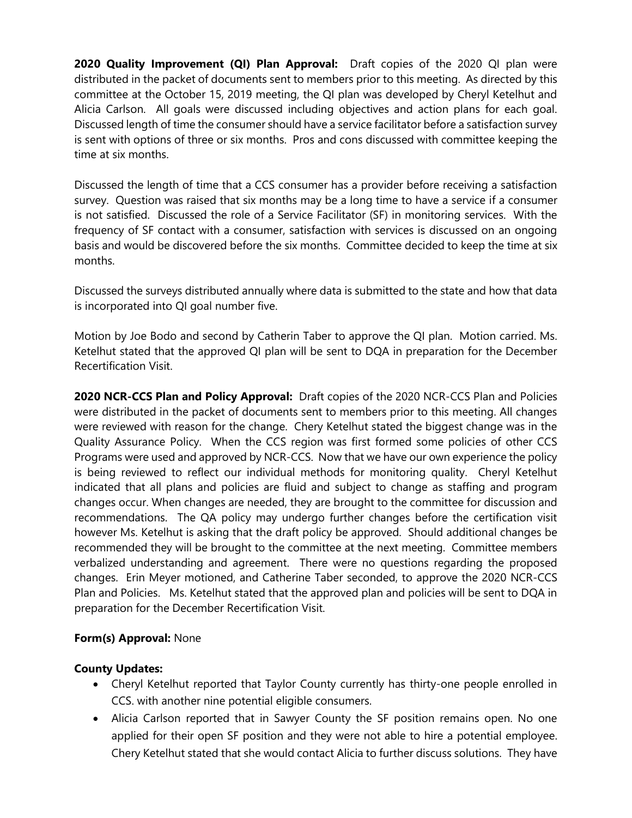**2020 Quality Improvement (QI) Plan Approval:** Draft copies of the 2020 QI plan were distributed in the packet of documents sent to members prior to this meeting. As directed by this committee at the October 15, 2019 meeting, the QI plan was developed by Cheryl Ketelhut and Alicia Carlson. All goals were discussed including objectives and action plans for each goal. Discussed length of time the consumer should have a service facilitator before a satisfaction survey is sent with options of three or six months. Pros and cons discussed with committee keeping the time at six months.

Discussed the length of time that a CCS consumer has a provider before receiving a satisfaction survey. Question was raised that six months may be a long time to have a service if a consumer is not satisfied. Discussed the role of a Service Facilitator (SF) in monitoring services. With the frequency of SF contact with a consumer, satisfaction with services is discussed on an ongoing basis and would be discovered before the six months. Committee decided to keep the time at six months.

Discussed the surveys distributed annually where data is submitted to the state and how that data is incorporated into QI goal number five.

Motion by Joe Bodo and second by Catherin Taber to approve the QI plan. Motion carried. Ms. Ketelhut stated that the approved QI plan will be sent to DQA in preparation for the December Recertification Visit.

**2020 NCR-CCS Plan and Policy Approval:** Draft copies of the 2020 NCR-CCS Plan and Policies were distributed in the packet of documents sent to members prior to this meeting. All changes were reviewed with reason for the change. Chery Ketelhut stated the biggest change was in the Quality Assurance Policy. When the CCS region was first formed some policies of other CCS Programs were used and approved by NCR-CCS. Now that we have our own experience the policy is being reviewed to reflect our individual methods for monitoring quality. Cheryl Ketelhut indicated that all plans and policies are fluid and subject to change as staffing and program changes occur. When changes are needed, they are brought to the committee for discussion and recommendations. The QA policy may undergo further changes before the certification visit however Ms. Ketelhut is asking that the draft policy be approved. Should additional changes be recommended they will be brought to the committee at the next meeting. Committee members verbalized understanding and agreement. There were no questions regarding the proposed changes. Erin Meyer motioned, and Catherine Taber seconded, to approve the 2020 NCR-CCS Plan and Policies. Ms. Ketelhut stated that the approved plan and policies will be sent to DQA in preparation for the December Recertification Visit.

## **Form(s) Approval:** None

## **County Updates:**

- Cheryl Ketelhut reported that Taylor County currently has thirty-one people enrolled in CCS. with another nine potential eligible consumers.
- Alicia Carlson reported that in Sawyer County the SF position remains open. No one applied for their open SF position and they were not able to hire a potential employee. Chery Ketelhut stated that she would contact Alicia to further discuss solutions. They have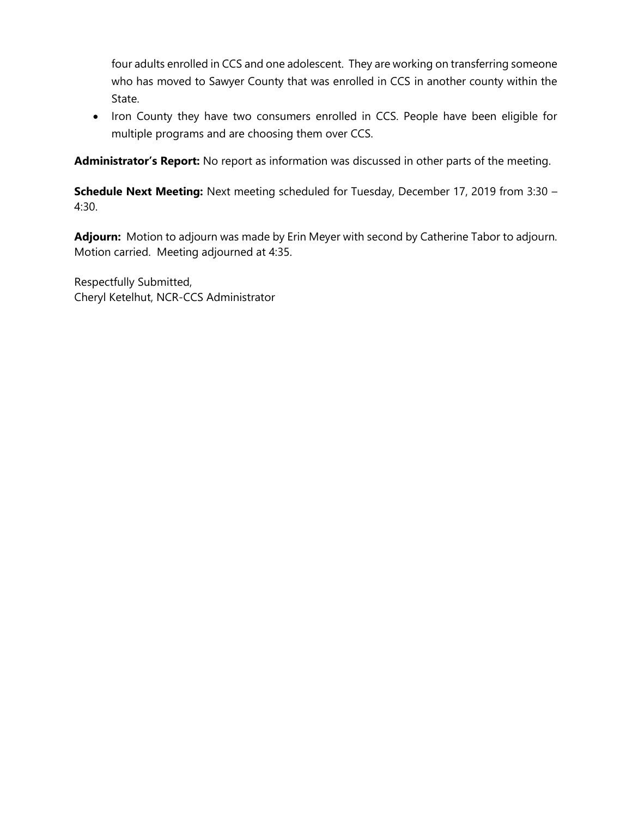four adults enrolled in CCS and one adolescent. They are working on transferring someone who has moved to Sawyer County that was enrolled in CCS in another county within the State.

• Iron County they have two consumers enrolled in CCS. People have been eligible for multiple programs and are choosing them over CCS.

**Administrator's Report:** No report as information was discussed in other parts of the meeting.

**Schedule Next Meeting:** Next meeting scheduled for Tuesday, December 17, 2019 from 3:30 – 4:30.

**Adjourn:** Motion to adjourn was made by Erin Meyer with second by Catherine Tabor to adjourn. Motion carried. Meeting adjourned at 4:35.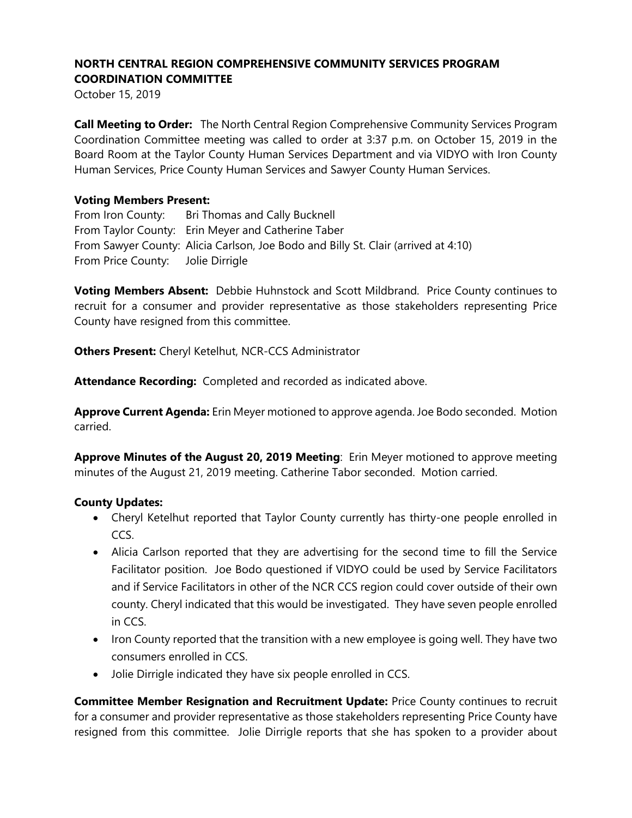October 15, 2019

**Call Meeting to Order:** The North Central Region Comprehensive Community Services Program Coordination Committee meeting was called to order at 3:37 p.m. on October 15, 2019 in the Board Room at the Taylor County Human Services Department and via VIDYO with Iron County Human Services, Price County Human Services and Sawyer County Human Services.

#### **Voting Members Present:**

From Iron County: Bri Thomas and Cally Bucknell From Taylor County: Erin Meyer and Catherine Taber From Sawyer County: Alicia Carlson, Joe Bodo and Billy St. Clair (arrived at 4:10) From Price County: Jolie Dirrigle

**Voting Members Absent:** Debbie Huhnstock and Scott Mildbrand. Price County continues to recruit for a consumer and provider representative as those stakeholders representing Price County have resigned from this committee.

**Others Present:** Cheryl Ketelhut, NCR-CCS Administrator

**Attendance Recording:** Completed and recorded as indicated above.

**Approve Current Agenda:** Erin Meyer motioned to approve agenda. Joe Bodo seconded. Motion carried.

**Approve Minutes of the August 20, 2019 Meeting**: Erin Meyer motioned to approve meeting minutes of the August 21, 2019 meeting. Catherine Tabor seconded. Motion carried.

### **County Updates:**

- Cheryl Ketelhut reported that Taylor County currently has thirty-one people enrolled in CCS.
- Alicia Carlson reported that they are advertising for the second time to fill the Service Facilitator position. Joe Bodo questioned if VIDYO could be used by Service Facilitators and if Service Facilitators in other of the NCR CCS region could cover outside of their own county. Cheryl indicated that this would be investigated. They have seven people enrolled in CCS.
- Iron County reported that the transition with a new employee is going well. They have two consumers enrolled in CCS.
- Jolie Dirrigle indicated they have six people enrolled in CCS.

**Committee Member Resignation and Recruitment Update:** Price County continues to recruit for a consumer and provider representative as those stakeholders representing Price County have resigned from this committee. Jolie Dirrigle reports that she has spoken to a provider about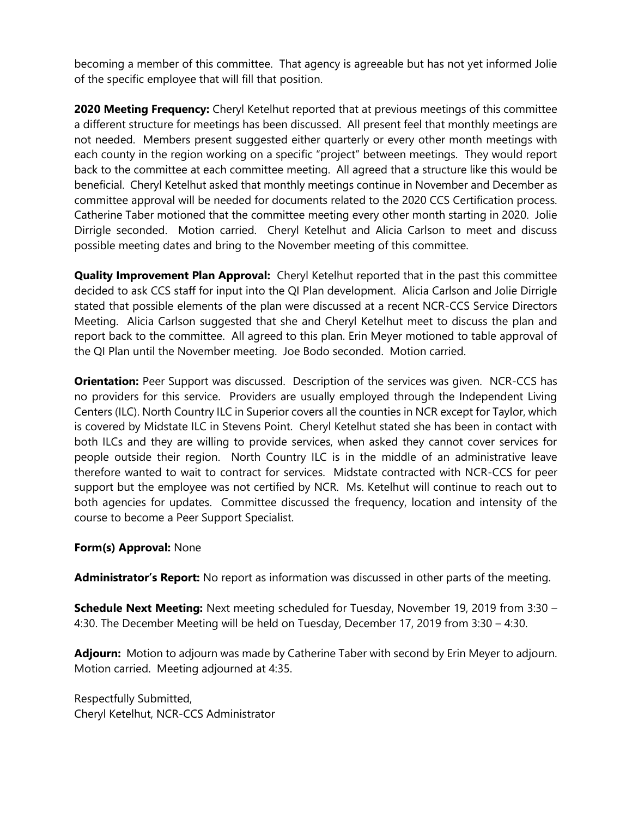becoming a member of this committee. That agency is agreeable but has not yet informed Jolie of the specific employee that will fill that position.

**2020 Meeting Frequency:** Cheryl Ketelhut reported that at previous meetings of this committee a different structure for meetings has been discussed. All present feel that monthly meetings are not needed. Members present suggested either quarterly or every other month meetings with each county in the region working on a specific "project" between meetings. They would report back to the committee at each committee meeting. All agreed that a structure like this would be beneficial. Cheryl Ketelhut asked that monthly meetings continue in November and December as committee approval will be needed for documents related to the 2020 CCS Certification process. Catherine Taber motioned that the committee meeting every other month starting in 2020. Jolie Dirrigle seconded. Motion carried. Cheryl Ketelhut and Alicia Carlson to meet and discuss possible meeting dates and bring to the November meeting of this committee.

**Quality Improvement Plan Approval:** Cheryl Ketelhut reported that in the past this committee decided to ask CCS staff for input into the QI Plan development. Alicia Carlson and Jolie Dirrigle stated that possible elements of the plan were discussed at a recent NCR-CCS Service Directors Meeting. Alicia Carlson suggested that she and Cheryl Ketelhut meet to discuss the plan and report back to the committee. All agreed to this plan. Erin Meyer motioned to table approval of the QI Plan until the November meeting. Joe Bodo seconded. Motion carried.

**Orientation:** Peer Support was discussed. Description of the services was given. NCR-CCS has no providers for this service. Providers are usually employed through the Independent Living Centers (ILC). North Country ILC in Superior covers all the counties in NCR except for Taylor, which is covered by Midstate ILC in Stevens Point. Cheryl Ketelhut stated she has been in contact with both ILCs and they are willing to provide services, when asked they cannot cover services for people outside their region. North Country ILC is in the middle of an administrative leave therefore wanted to wait to contract for services. Midstate contracted with NCR-CCS for peer support but the employee was not certified by NCR. Ms. Ketelhut will continue to reach out to both agencies for updates. Committee discussed the frequency, location and intensity of the course to become a Peer Support Specialist.

### **Form(s) Approval:** None

**Administrator's Report:** No report as information was discussed in other parts of the meeting.

**Schedule Next Meeting:** Next meeting scheduled for Tuesday, November 19, 2019 from 3:30 – 4:30. The December Meeting will be held on Tuesday, December 17, 2019 from 3:30 – 4:30.

**Adjourn:** Motion to adjourn was made by Catherine Taber with second by Erin Meyer to adjourn. Motion carried. Meeting adjourned at 4:35.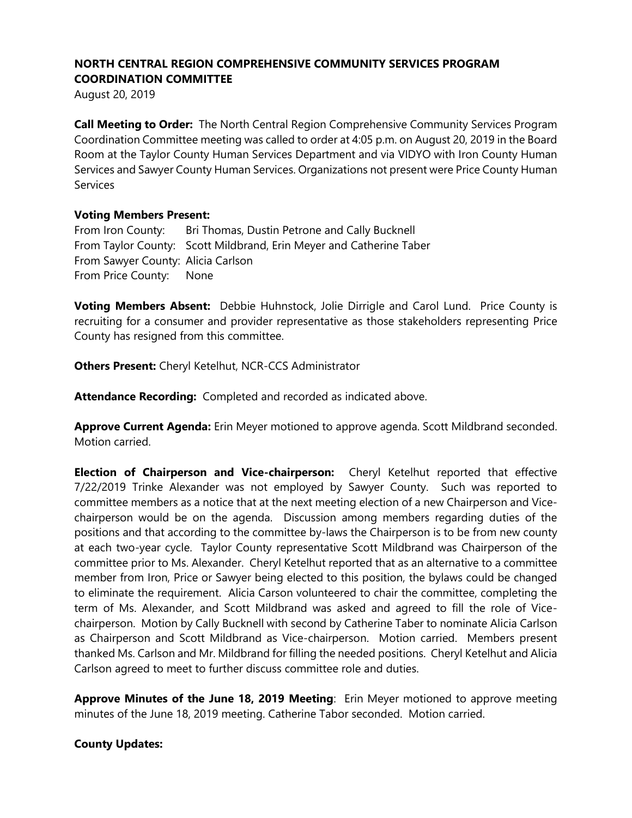August 20, 2019

**Call Meeting to Order:** The North Central Region Comprehensive Community Services Program Coordination Committee meeting was called to order at 4:05 p.m. on August 20, 2019 in the Board Room at the Taylor County Human Services Department and via VIDYO with Iron County Human Services and Sawyer County Human Services. Organizations not present were Price County Human **Services** 

### **Voting Members Present:**

From Iron County: Bri Thomas, Dustin Petrone and Cally Bucknell From Taylor County: Scott Mildbrand, Erin Meyer and Catherine Taber From Sawyer County: Alicia Carlson From Price County: None

**Voting Members Absent:** Debbie Huhnstock, Jolie Dirrigle and Carol Lund. Price County is recruiting for a consumer and provider representative as those stakeholders representing Price County has resigned from this committee.

**Others Present:** Cheryl Ketelhut, NCR-CCS Administrator

**Attendance Recording:** Completed and recorded as indicated above.

**Approve Current Agenda:** Erin Meyer motioned to approve agenda. Scott Mildbrand seconded. Motion carried.

**Election of Chairperson and Vice-chairperson:** Cheryl Ketelhut reported that effective 7/22/2019 Trinke Alexander was not employed by Sawyer County. Such was reported to committee members as a notice that at the next meeting election of a new Chairperson and Vicechairperson would be on the agenda. Discussion among members regarding duties of the positions and that according to the committee by-laws the Chairperson is to be from new county at each two-year cycle. Taylor County representative Scott Mildbrand was Chairperson of the committee prior to Ms. Alexander. Cheryl Ketelhut reported that as an alternative to a committee member from Iron, Price or Sawyer being elected to this position, the bylaws could be changed to eliminate the requirement. Alicia Carson volunteered to chair the committee, completing the term of Ms. Alexander, and Scott Mildbrand was asked and agreed to fill the role of Vicechairperson. Motion by Cally Bucknell with second by Catherine Taber to nominate Alicia Carlson as Chairperson and Scott Mildbrand as Vice-chairperson. Motion carried. Members present thanked Ms. Carlson and Mr. Mildbrand for filling the needed positions. Cheryl Ketelhut and Alicia Carlson agreed to meet to further discuss committee role and duties.

**Approve Minutes of the June 18, 2019 Meeting**: Erin Meyer motioned to approve meeting minutes of the June 18, 2019 meeting. Catherine Tabor seconded. Motion carried.

### **County Updates:**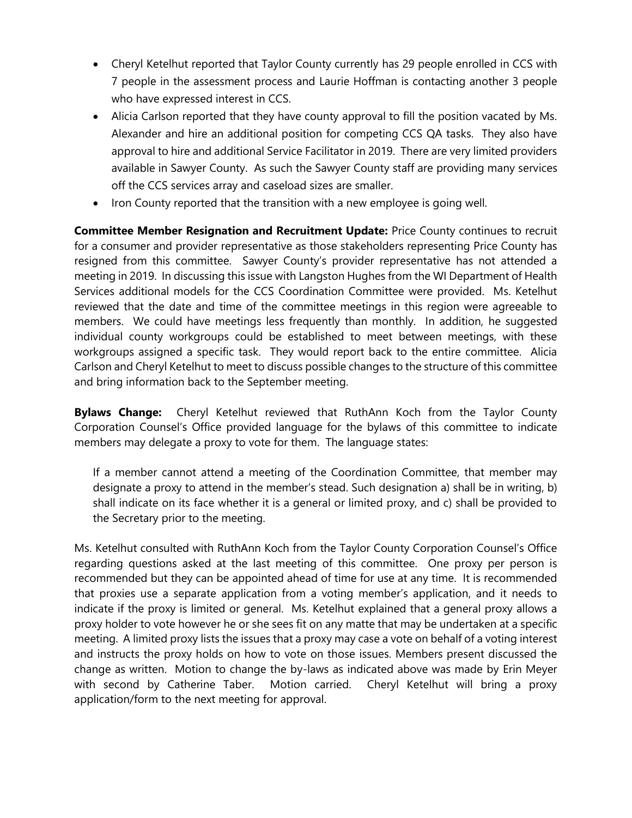- Cheryl Ketelhut reported that Taylor County currently has 29 people enrolled in CCS with 7 people in the assessment process and Laurie Hoffman is contacting another 3 people who have expressed interest in CCS.
- Alicia Carlson reported that they have county approval to fill the position vacated by Ms. Alexander and hire an additional position for competing CCS QA tasks. They also have approval to hire and additional Service Facilitator in 2019. There are very limited providers available in Sawyer County. As such the Sawyer County staff are providing many services off the CCS services array and caseload sizes are smaller.
- Iron County reported that the transition with a new employee is going well.

**Committee Member Resignation and Recruitment Update:** Price County continues to recruit for a consumer and provider representative as those stakeholders representing Price County has resigned from this committee. Sawyer County's provider representative has not attended a meeting in 2019. In discussing this issue with Langston Hughes from the WI Department of Health Services additional models for the CCS Coordination Committee were provided. Ms. Ketelhut reviewed that the date and time of the committee meetings in this region were agreeable to members. We could have meetings less frequently than monthly. In addition, he suggested individual county workgroups could be established to meet between meetings, with these workgroups assigned a specific task. They would report back to the entire committee. Alicia Carlson and Cheryl Ketelhut to meet to discuss possible changes to the structure of this committee and bring information back to the September meeting.

**Bylaws Change:** Cheryl Ketelhut reviewed that RuthAnn Koch from the Taylor County Corporation Counsel's Office provided language for the bylaws of this committee to indicate members may delegate a proxy to vote for them. The language states:

If a member cannot attend a meeting of the Coordination Committee, that member may designate a proxy to attend in the member's stead. Such designation a) shall be in writing, b) shall indicate on its face whether it is a general or limited proxy, and c) shall be provided to the Secretary prior to the meeting.

Ms. Ketelhut consulted with RuthAnn Koch from the Taylor County Corporation Counsel's Office regarding questions asked at the last meeting of this committee. One proxy per person is recommended but they can be appointed ahead of time for use at any time. It is recommended that proxies use a separate application from a voting member's application, and it needs to indicate if the proxy is limited or general. Ms. Ketelhut explained that a general proxy allows a proxy holder to vote however he or she sees fit on any matte that may be undertaken at a specific meeting. A limited proxy lists the issues that a proxy may case a vote on behalf of a voting interest and instructs the proxy holds on how to vote on those issues. Members present discussed the change as written. Motion to change the by-laws as indicated above was made by Erin Meyer with second by Catherine Taber. Motion carried. Cheryl Ketelhut will bring a proxy application/form to the next meeting for approval.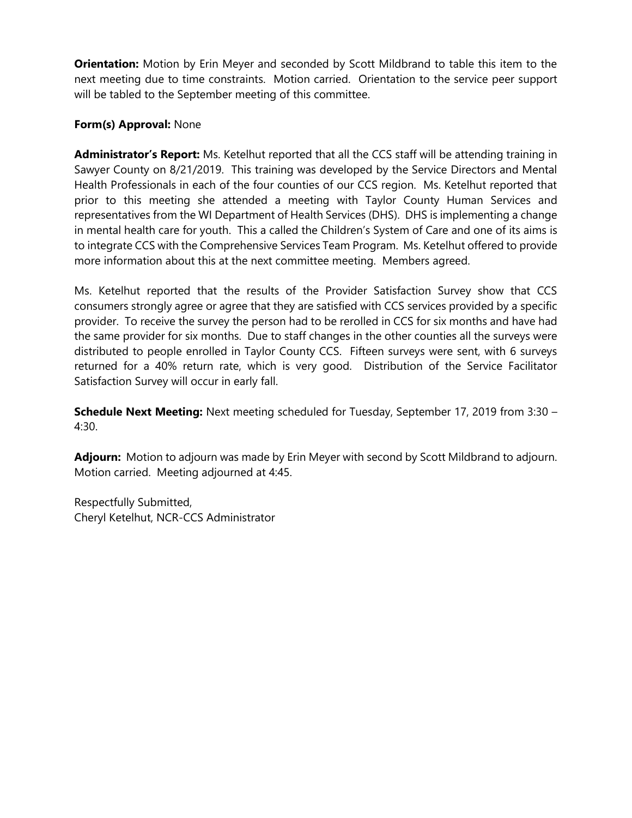**Orientation:** Motion by Erin Meyer and seconded by Scott Mildbrand to table this item to the next meeting due to time constraints. Motion carried. Orientation to the service peer support will be tabled to the September meeting of this committee.

### **Form(s) Approval:** None

**Administrator's Report:** Ms. Ketelhut reported that all the CCS staff will be attending training in Sawyer County on 8/21/2019. This training was developed by the Service Directors and Mental Health Professionals in each of the four counties of our CCS region. Ms. Ketelhut reported that prior to this meeting she attended a meeting with Taylor County Human Services and representatives from the WI Department of Health Services (DHS). DHS is implementing a change in mental health care for youth. This a called the Children's System of Care and one of its aims is to integrate CCS with the Comprehensive Services Team Program. Ms. Ketelhut offered to provide more information about this at the next committee meeting. Members agreed.

Ms. Ketelhut reported that the results of the Provider Satisfaction Survey show that CCS consumers strongly agree or agree that they are satisfied with CCS services provided by a specific provider. To receive the survey the person had to be rerolled in CCS for six months and have had the same provider for six months. Due to staff changes in the other counties all the surveys were distributed to people enrolled in Taylor County CCS. Fifteen surveys were sent, with 6 surveys returned for a 40% return rate, which is very good. Distribution of the Service Facilitator Satisfaction Survey will occur in early fall.

**Schedule Next Meeting:** Next meeting scheduled for Tuesday, September 17, 2019 from 3:30 – 4:30.

**Adjourn:** Motion to adjourn was made by Erin Meyer with second by Scott Mildbrand to adjourn. Motion carried. Meeting adjourned at 4:45.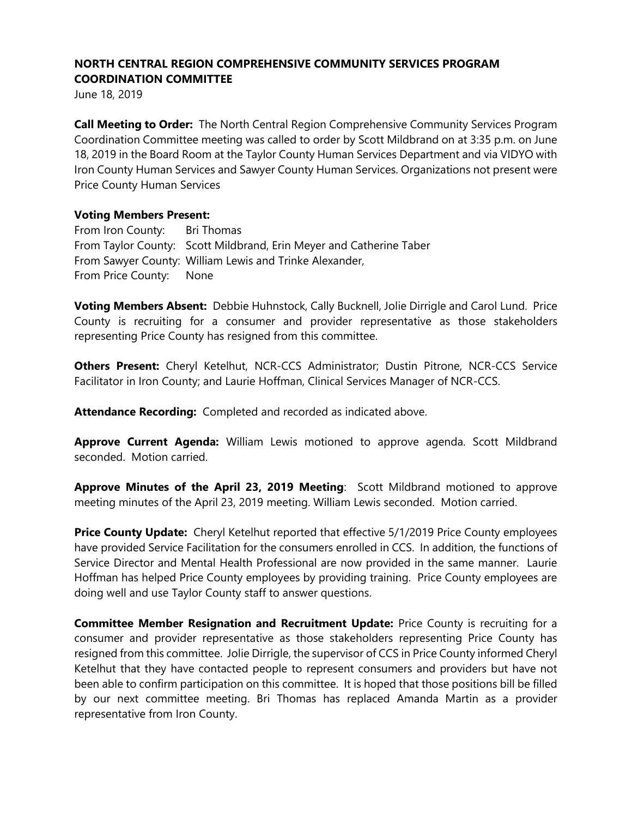June 18, 2019

**Call Meeting to Order:** The North Central Region Comprehensive Community Services Program Coordination Committee meeting was called to order by Scott Mildbrand on at 3:35 p.m. on June 18, 2019 in the Board Room at the Taylor County Human Services Department and via VIDYO with Iron County Human Services and Sawyer County Human Services. Organizations not present were Price County Human Services

### **Voting Members Present:**

From Iron County: Bri Thomas From Taylor County: Scott Mildbrand, Erin Meyer and Catherine Taber From Sawyer County: William Lewis and Trinke Alexander, From Price County: None

**Voting Members Absent:** Debbie Huhnstock, Cally Bucknell, Jolie Dirrigle and Carol Lund. Price County is recruiting for a consumer and provider representative as those stakeholders representing Price County has resigned from this committee.

**Others Present:** Cheryl Ketelhut, NCR-CCS Administrator; Dustin Pitrone, NCR-CCS Service Facilitator in Iron County; and Laurie Hoffman, Clinical Services Manager of NCR-CCS.

**Attendance Recording:** Completed and recorded as indicated above.

**Approve Current Agenda:** William Lewis motioned to approve agenda. Scott Mildbrand seconded. Motion carried.

**Approve Minutes of the April 23, 2019 Meeting**: Scott Mildbrand motioned to approve meeting minutes of the April 23, 2019 meeting. William Lewis seconded. Motion carried.

**Price County Update:** Cheryl Ketelhut reported that effective 5/1/2019 Price County employees have provided Service Facilitation for the consumers enrolled in CCS. In addition, the functions of Service Director and Mental Health Professional are now provided in the same manner. Laurie Hoffman has helped Price County employees by providing training. Price County employees are doing well and use Taylor County staff to answer questions.

**Committee Member Resignation and Recruitment Update:** Price County is recruiting for a consumer and provider representative as those stakeholders representing Price County has resigned from this committee. Jolie Dirrigle, the supervisor of CCS in Price County informed Cheryl Ketelhut that they have contacted people to represent consumers and providers but have not been able to confirm participation on this committee. It is hoped that those positions bill be filled by our next committee meeting. Bri Thomas has replaced Amanda Martin as a provider representative from Iron County.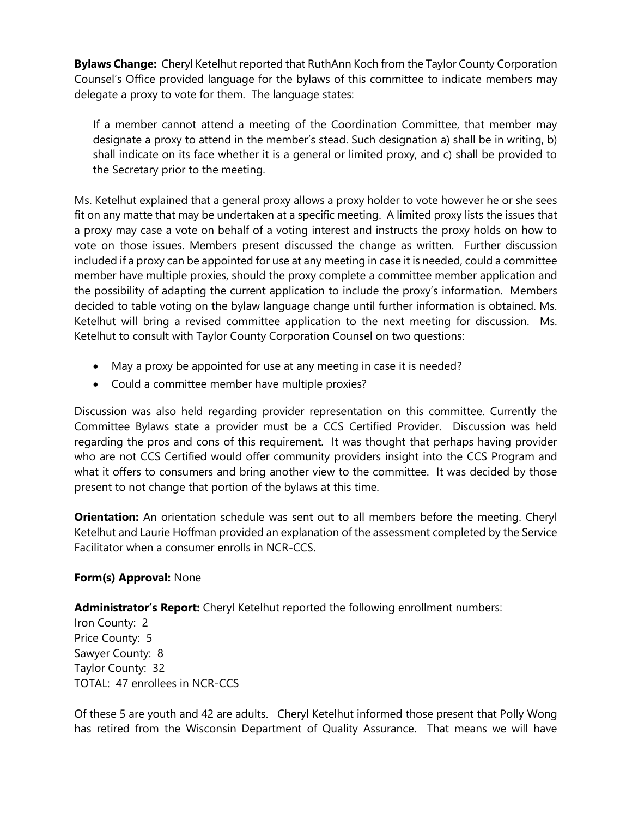**Bylaws Change:** Cheryl Ketelhut reported that RuthAnn Koch from the Taylor County Corporation Counsel's Office provided language for the bylaws of this committee to indicate members may delegate a proxy to vote for them. The language states:

If a member cannot attend a meeting of the Coordination Committee, that member may designate a proxy to attend in the member's stead. Such designation a) shall be in writing, b) shall indicate on its face whether it is a general or limited proxy, and c) shall be provided to the Secretary prior to the meeting.

Ms. Ketelhut explained that a general proxy allows a proxy holder to vote however he or she sees fit on any matte that may be undertaken at a specific meeting. A limited proxy lists the issues that a proxy may case a vote on behalf of a voting interest and instructs the proxy holds on how to vote on those issues. Members present discussed the change as written. Further discussion included if a proxy can be appointed for use at any meeting in case it is needed, could a committee member have multiple proxies, should the proxy complete a committee member application and the possibility of adapting the current application to include the proxy's information. Members decided to table voting on the bylaw language change until further information is obtained. Ms. Ketelhut will bring a revised committee application to the next meeting for discussion. Ms. Ketelhut to consult with Taylor County Corporation Counsel on two questions:

- May a proxy be appointed for use at any meeting in case it is needed?
- Could a committee member have multiple proxies?

Discussion was also held regarding provider representation on this committee. Currently the Committee Bylaws state a provider must be a CCS Certified Provider. Discussion was held regarding the pros and cons of this requirement. It was thought that perhaps having provider who are not CCS Certified would offer community providers insight into the CCS Program and what it offers to consumers and bring another view to the committee. It was decided by those present to not change that portion of the bylaws at this time.

**Orientation:** An orientation schedule was sent out to all members before the meeting. Cheryl Ketelhut and Laurie Hoffman provided an explanation of the assessment completed by the Service Facilitator when a consumer enrolls in NCR-CCS.

## **Form(s) Approval:** None

**Administrator's Report:** Cheryl Ketelhut reported the following enrollment numbers:

Iron County: 2 Price County: 5 Sawyer County: 8 Taylor County: 32 TOTAL: 47 enrollees in NCR-CCS

Of these 5 are youth and 42 are adults. Cheryl Ketelhut informed those present that Polly Wong has retired from the Wisconsin Department of Quality Assurance. That means we will have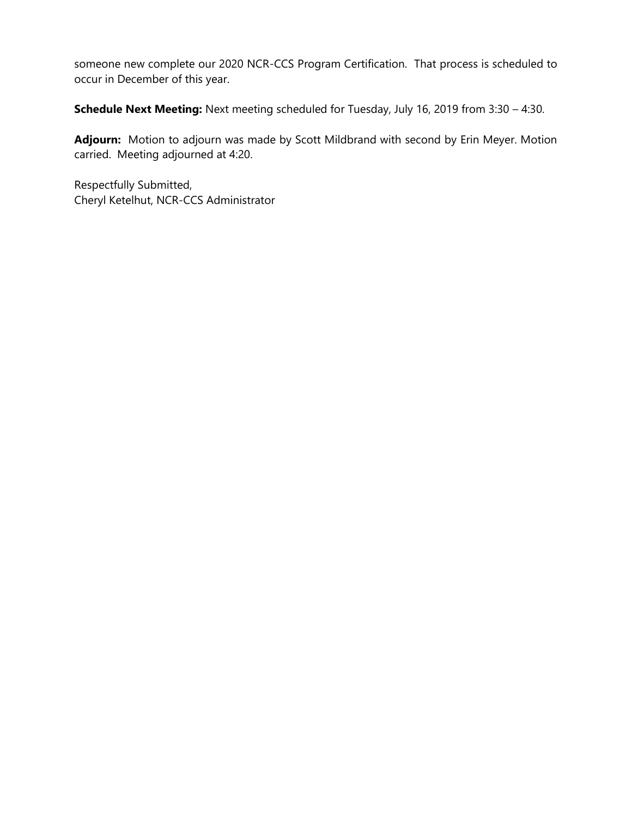someone new complete our 2020 NCR-CCS Program Certification. That process is scheduled to occur in December of this year.

**Schedule Next Meeting:** Next meeting scheduled for Tuesday, July 16, 2019 from 3:30 – 4:30.

**Adjourn:** Motion to adjourn was made by Scott Mildbrand with second by Erin Meyer. Motion carried. Meeting adjourned at 4:20.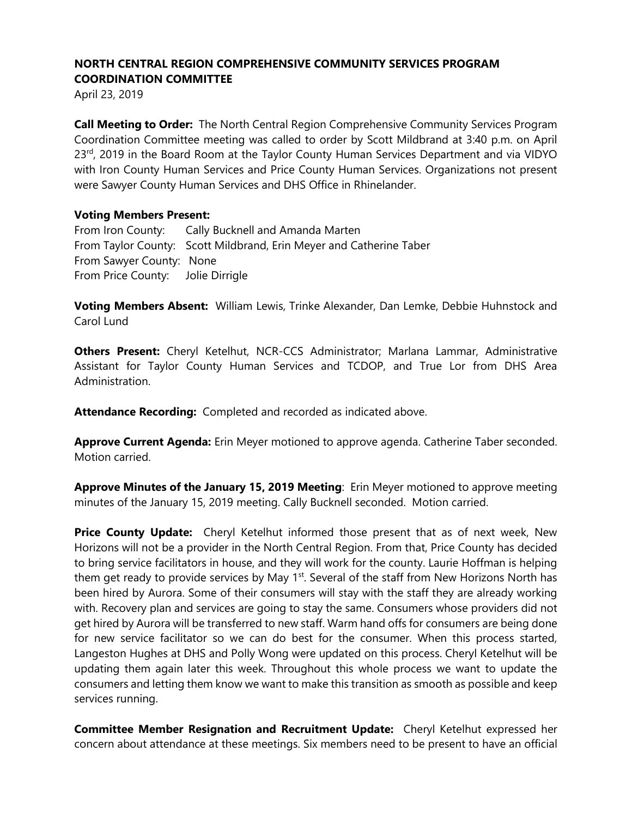April 23, 2019

**Call Meeting to Order:** The North Central Region Comprehensive Community Services Program Coordination Committee meeting was called to order by Scott Mildbrand at 3:40 p.m. on April 23<sup>rd</sup>, 2019 in the Board Room at the Taylor County Human Services Department and via VIDYO with Iron County Human Services and Price County Human Services. Organizations not present were Sawyer County Human Services and DHS Office in Rhinelander.

#### **Voting Members Present:**

From Iron County: Cally Bucknell and Amanda Marten From Taylor County: Scott Mildbrand, Erin Meyer and Catherine Taber From Sawyer County: None From Price County: Jolie Dirrigle

**Voting Members Absent:** William Lewis, Trinke Alexander, Dan Lemke, Debbie Huhnstock and Carol Lund

**Others Present:** Cheryl Ketelhut, NCR-CCS Administrator; Marlana Lammar, Administrative Assistant for Taylor County Human Services and TCDOP, and True Lor from DHS Area Administration.

**Attendance Recording:** Completed and recorded as indicated above.

**Approve Current Agenda:** Erin Meyer motioned to approve agenda. Catherine Taber seconded. Motion carried.

**Approve Minutes of the January 15, 2019 Meeting**: Erin Meyer motioned to approve meeting minutes of the January 15, 2019 meeting. Cally Bucknell seconded. Motion carried.

**Price County Update:** Cheryl Ketelhut informed those present that as of next week, New Horizons will not be a provider in the North Central Region. From that, Price County has decided to bring service facilitators in house, and they will work for the county. Laurie Hoffman is helping them get ready to provide services by May 1<sup>st</sup>. Several of the staff from New Horizons North has been hired by Aurora. Some of their consumers will stay with the staff they are already working with. Recovery plan and services are going to stay the same. Consumers whose providers did not get hired by Aurora will be transferred to new staff. Warm hand offs for consumers are being done for new service facilitator so we can do best for the consumer. When this process started, Langeston Hughes at DHS and Polly Wong were updated on this process. Cheryl Ketelhut will be updating them again later this week. Throughout this whole process we want to update the consumers and letting them know we want to make this transition as smooth as possible and keep services running.

**Committee Member Resignation and Recruitment Update:** Cheryl Ketelhut expressed her concern about attendance at these meetings. Six members need to be present to have an official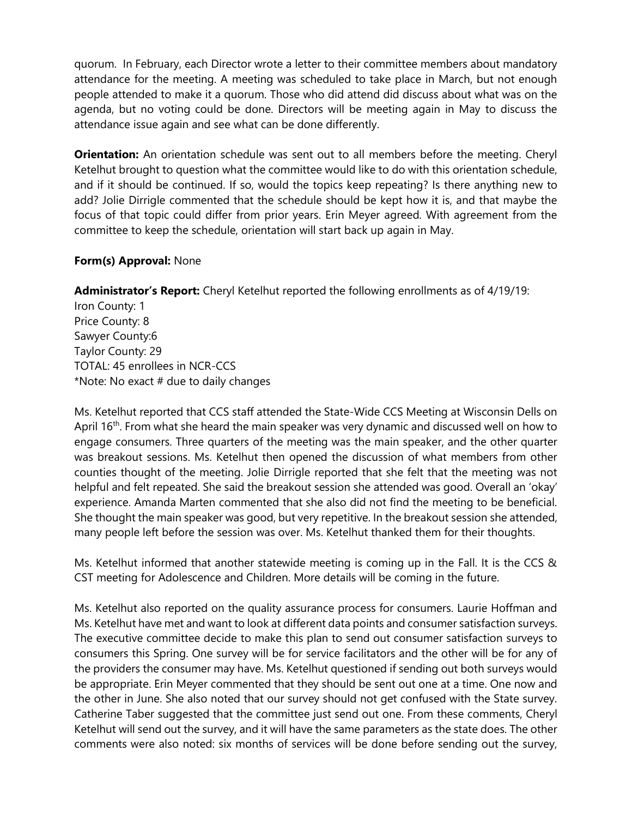quorum. In February, each Director wrote a letter to their committee members about mandatory attendance for the meeting. A meeting was scheduled to take place in March, but not enough people attended to make it a quorum. Those who did attend did discuss about what was on the agenda, but no voting could be done. Directors will be meeting again in May to discuss the attendance issue again and see what can be done differently.

**Orientation:** An orientation schedule was sent out to all members before the meeting. Cheryl Ketelhut brought to question what the committee would like to do with this orientation schedule, and if it should be continued. If so, would the topics keep repeating? Is there anything new to add? Jolie Dirrigle commented that the schedule should be kept how it is, and that maybe the focus of that topic could differ from prior years. Erin Meyer agreed. With agreement from the committee to keep the schedule, orientation will start back up again in May.

### **Form(s) Approval:** None

**Administrator's Report:** Cheryl Ketelhut reported the following enrollments as of 4/19/19:

Iron County: 1 Price County: 8 Sawyer County:6 Taylor County: 29 TOTAL: 45 enrollees in NCR-CCS  $*$ Note: No exact  $#$  due to daily changes

Ms. Ketelhut reported that CCS staff attended the State-Wide CCS Meeting at Wisconsin Dells on April  $16<sup>th</sup>$ . From what she heard the main speaker was very dynamic and discussed well on how to engage consumers. Three quarters of the meeting was the main speaker, and the other quarter was breakout sessions. Ms. Ketelhut then opened the discussion of what members from other counties thought of the meeting. Jolie Dirrigle reported that she felt that the meeting was not helpful and felt repeated. She said the breakout session she attended was good. Overall an 'okay' experience. Amanda Marten commented that she also did not find the meeting to be beneficial. She thought the main speaker was good, but very repetitive. In the breakout session she attended, many people left before the session was over. Ms. Ketelhut thanked them for their thoughts.

Ms. Ketelhut informed that another statewide meeting is coming up in the Fall. It is the CCS & CST meeting for Adolescence and Children. More details will be coming in the future.

Ms. Ketelhut also reported on the quality assurance process for consumers. Laurie Hoffman and Ms. Ketelhut have met and want to look at different data points and consumer satisfaction surveys. The executive committee decide to make this plan to send out consumer satisfaction surveys to consumers this Spring. One survey will be for service facilitators and the other will be for any of the providers the consumer may have. Ms. Ketelhut questioned if sending out both surveys would be appropriate. Erin Meyer commented that they should be sent out one at a time. One now and the other in June. She also noted that our survey should not get confused with the State survey. Catherine Taber suggested that the committee just send out one. From these comments, Cheryl Ketelhut will send out the survey, and it will have the same parameters as the state does. The other comments were also noted: six months of services will be done before sending out the survey,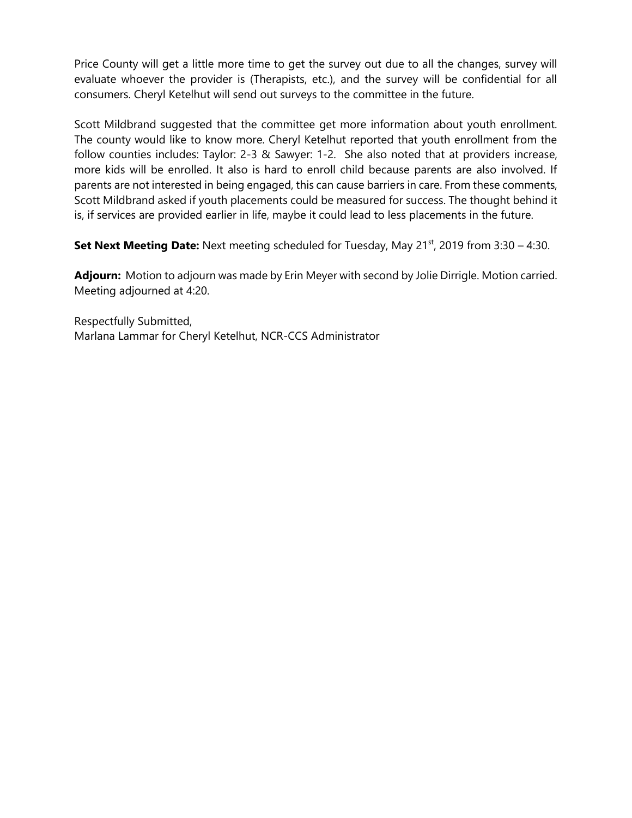Price County will get a little more time to get the survey out due to all the changes, survey will evaluate whoever the provider is (Therapists, etc.), and the survey will be confidential for all consumers. Cheryl Ketelhut will send out surveys to the committee in the future.

Scott Mildbrand suggested that the committee get more information about youth enrollment. The county would like to know more. Cheryl Ketelhut reported that youth enrollment from the follow counties includes: Taylor: 2-3 & Sawyer: 1-2. She also noted that at providers increase, more kids will be enrolled. It also is hard to enroll child because parents are also involved. If parents are not interested in being engaged, this can cause barriers in care. From these comments, Scott Mildbrand asked if youth placements could be measured for success. The thought behind it is, if services are provided earlier in life, maybe it could lead to less placements in the future.

**Set Next Meeting Date:** Next meeting scheduled for Tuesday, May 21<sup>st</sup>, 2019 from 3:30 – 4:30.

**Adjourn:** Motion to adjourn was made by Erin Meyer with second by Jolie Dirrigle. Motion carried. Meeting adjourned at 4:20.

Respectfully Submitted, Marlana Lammar for Cheryl Ketelhut, NCR-CCS Administrator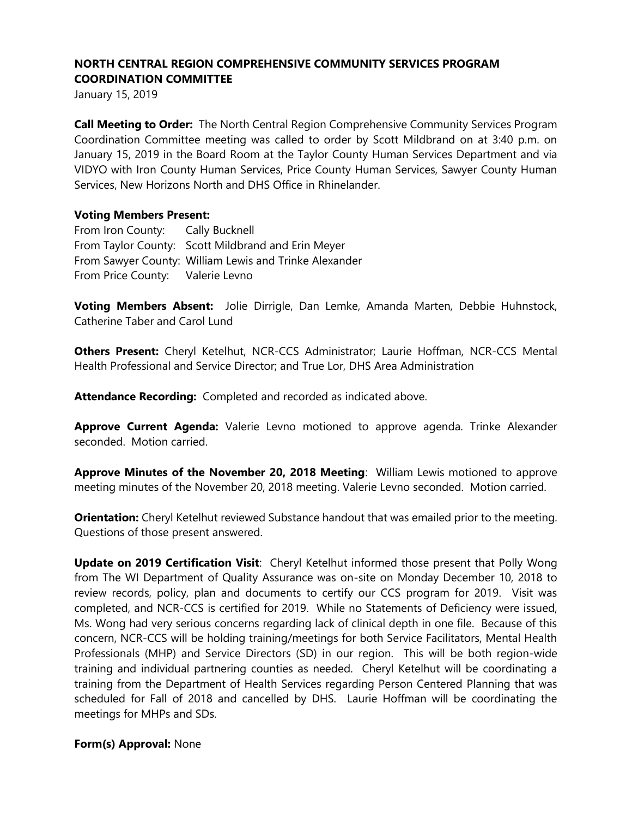January 15, 2019

**Call Meeting to Order:** The North Central Region Comprehensive Community Services Program Coordination Committee meeting was called to order by Scott Mildbrand on at 3:40 p.m. on January 15, 2019 in the Board Room at the Taylor County Human Services Department and via VIDYO with Iron County Human Services, Price County Human Services, Sawyer County Human Services, New Horizons North and DHS Office in Rhinelander.

### **Voting Members Present:**

From Iron County: Cally Bucknell From Taylor County: Scott Mildbrand and Erin Meyer From Sawyer County: William Lewis and Trinke Alexander From Price County: Valerie Levno

**Voting Members Absent:** Jolie Dirrigle, Dan Lemke, Amanda Marten, Debbie Huhnstock, Catherine Taber and Carol Lund

**Others Present:** Cheryl Ketelhut, NCR-CCS Administrator; Laurie Hoffman, NCR-CCS Mental Health Professional and Service Director; and True Lor, DHS Area Administration

**Attendance Recording:** Completed and recorded as indicated above.

**Approve Current Agenda:** Valerie Levno motioned to approve agenda. Trinke Alexander seconded. Motion carried.

**Approve Minutes of the November 20, 2018 Meeting**: William Lewis motioned to approve meeting minutes of the November 20, 2018 meeting. Valerie Levno seconded. Motion carried.

**Orientation:** Cheryl Ketelhut reviewed Substance handout that was emailed prior to the meeting. Questions of those present answered.

**Update on 2019 Certification Visit**: Cheryl Ketelhut informed those present that Polly Wong from The WI Department of Quality Assurance was on-site on Monday December 10, 2018 to review records, policy, plan and documents to certify our CCS program for 2019. Visit was completed, and NCR-CCS is certified for 2019. While no Statements of Deficiency were issued, Ms. Wong had very serious concerns regarding lack of clinical depth in one file. Because of this concern, NCR-CCS will be holding training/meetings for both Service Facilitators, Mental Health Professionals (MHP) and Service Directors (SD) in our region. This will be both region-wide training and individual partnering counties as needed. Cheryl Ketelhut will be coordinating a training from the Department of Health Services regarding Person Centered Planning that was scheduled for Fall of 2018 and cancelled by DHS. Laurie Hoffman will be coordinating the meetings for MHPs and SDs.

### **Form(s) Approval:** None